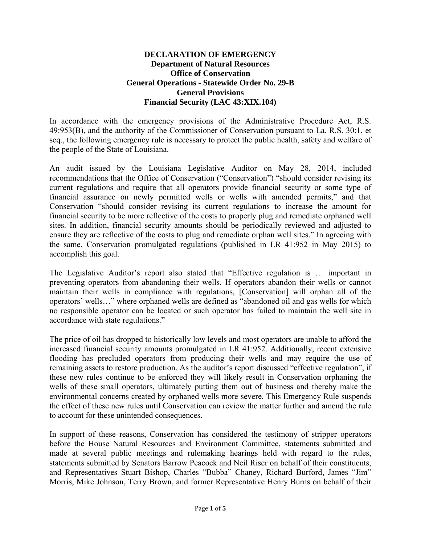## **DECLARATION OF EMERGENCY Department of Natural Resources Office of Conservation General Operations - Statewide Order No. 29-B General Provisions Financial Security (LAC 43:XIX.104)**

In accordance with the emergency provisions of the Administrative Procedure Act, R.S. 49:953(B), and the authority of the Commissioner of Conservation pursuant to La. R.S. 30:1, et seq., the following emergency rule is necessary to protect the public health, safety and welfare of the people of the State of Louisiana.

An audit issued by the Louisiana Legislative Auditor on May 28, 2014, included recommendations that the Office of Conservation ("Conservation") "should consider revising its current regulations and require that all operators provide financial security or some type of financial assurance on newly permitted wells or wells with amended permits," and that Conservation "should consider revising its current regulations to increase the amount for financial security to be more reflective of the costs to properly plug and remediate orphaned well sites. In addition, financial security amounts should be periodically reviewed and adjusted to ensure they are reflective of the costs to plug and remediate orphan well sites." In agreeing with the same, Conservation promulgated regulations (published in LR 41:952 in May 2015) to accomplish this goal.

The Legislative Auditor's report also stated that "Effective regulation is … important in preventing operators from abandoning their wells. If operators abandon their wells or cannot maintain their wells in compliance with regulations, [Conservation] will orphan all of the operators' wells…" where orphaned wells are defined as "abandoned oil and gas wells for which no responsible operator can be located or such operator has failed to maintain the well site in accordance with state regulations."

The price of oil has dropped to historically low levels and most operators are unable to afford the increased financial security amounts promulgated in LR 41:952. Additionally, recent extensive flooding has precluded operators from producing their wells and may require the use of remaining assets to restore production. As the auditor's report discussed "effective regulation", if these new rules continue to be enforced they will likely result in Conservation orphaning the wells of these small operators, ultimately putting them out of business and thereby make the environmental concerns created by orphaned wells more severe. This Emergency Rule suspends the effect of these new rules until Conservation can review the matter further and amend the rule to account for these unintended consequences.

In support of these reasons, Conservation has considered the testimony of stripper operators before the House Natural Resources and Environment Committee, statements submitted and made at several public meetings and rulemaking hearings held with regard to the rules, statements submitted by Senators Barrow Peacock and Neil Riser on behalf of their constituents, and Representatives Stuart Bishop, Charles "Bubba" Chaney, Richard Burford, James "Jim" Morris, Mike Johnson, Terry Brown, and former Representative Henry Burns on behalf of their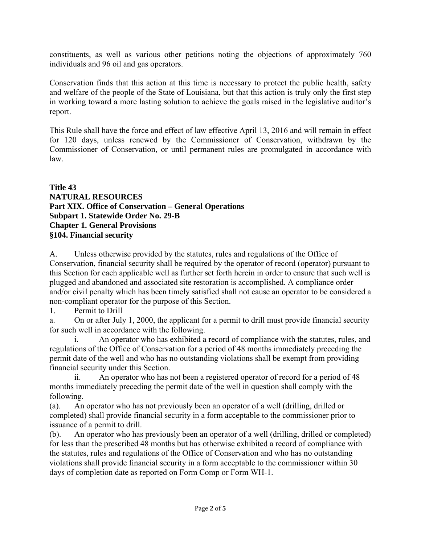constituents, as well as various other petitions noting the objections of approximately 760 individuals and 96 oil and gas operators.

Conservation finds that this action at this time is necessary to protect the public health, safety and welfare of the people of the State of Louisiana, but that this action is truly only the first step in working toward a more lasting solution to achieve the goals raised in the legislative auditor's report.

This Rule shall have the force and effect of law effective April 13, 2016 and will remain in effect for 120 days, unless renewed by the Commissioner of Conservation, withdrawn by the Commissioner of Conservation, or until permanent rules are promulgated in accordance with law.

## **Title 43 NATURAL RESOURCES Part XIX. Office of Conservation – General Operations Subpart 1. Statewide Order No. 29-B Chapter 1. General Provisions §104. Financial security**

A. Unless otherwise provided by the statutes, rules and regulations of the Office of Conservation, financial security shall be required by the operator of record (operator) pursuant to this Section for each applicable well as further set forth herein in order to ensure that such well is plugged and abandoned and associated site restoration is accomplished. A compliance order and/or civil penalty which has been timely satisfied shall not cause an operator to be considered a non-compliant operator for the purpose of this Section.

1. Permit to Drill

a. On or after July 1, 2000, the applicant for a permit to drill must provide financial security for such well in accordance with the following.

 i. An operator who has exhibited a record of compliance with the statutes, rules, and regulations of the Office of Conservation for a period of 48 months immediately preceding the permit date of the well and who has no outstanding violations shall be exempt from providing financial security under this Section.

 ii. An operator who has not been a registered operator of record for a period of 48 months immediately preceding the permit date of the well in question shall comply with the following.

(a). An operator who has not previously been an operator of a well (drilling, drilled or completed) shall provide financial security in a form acceptable to the commissioner prior to issuance of a permit to drill.

(b). An operator who has previously been an operator of a well (drilling, drilled or completed) for less than the prescribed 48 months but has otherwise exhibited a record of compliance with the statutes, rules and regulations of the Office of Conservation and who has no outstanding violations shall provide financial security in a form acceptable to the commissioner within 30 days of completion date as reported on Form Comp or Form WH-1.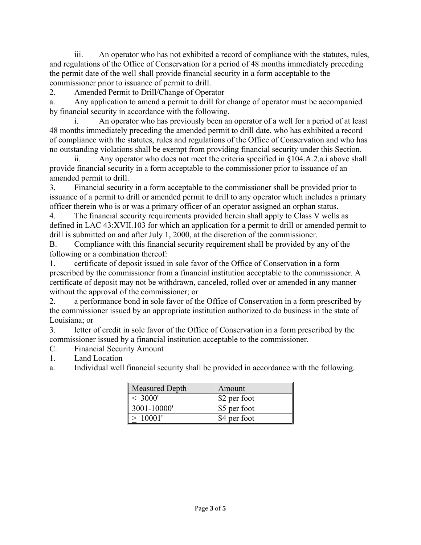iii. An operator who has not exhibited a record of compliance with the statutes, rules, and regulations of the Office of Conservation for a period of 48 months immediately preceding the permit date of the well shall provide financial security in a form acceptable to the commissioner prior to issuance of permit to drill.

2. Amended Permit to Drill/Change of Operator

a. Any application to amend a permit to drill for change of operator must be accompanied by financial security in accordance with the following.

 i. An operator who has previously been an operator of a well for a period of at least 48 months immediately preceding the amended permit to drill date, who has exhibited a record of compliance with the statutes, rules and regulations of the Office of Conservation and who has no outstanding violations shall be exempt from providing financial security under this Section.

 ii. Any operator who does not meet the criteria specified in §104.A.2.a.i above shall provide financial security in a form acceptable to the commissioner prior to issuance of an amended permit to drill.

3. Financial security in a form acceptable to the commissioner shall be provided prior to issuance of a permit to drill or amended permit to drill to any operator which includes a primary officer therein who is or was a primary officer of an operator assigned an orphan status.

4. The financial security requirements provided herein shall apply to Class V wells as defined in LAC 43:XVII.103 for which an application for a permit to drill or amended permit to drill is submitted on and after July 1, 2000, at the discretion of the commissioner.

B. Compliance with this financial security requirement shall be provided by any of the following or a combination thereof:

1. certificate of deposit issued in sole favor of the Office of Conservation in a form prescribed by the commissioner from a financial institution acceptable to the commissioner. A certificate of deposit may not be withdrawn, canceled, rolled over or amended in any manner without the approval of the commissioner; or

2. a performance bond in sole favor of the Office of Conservation in a form prescribed by the commissioner issued by an appropriate institution authorized to do business in the state of Louisiana; or

3. letter of credit in sole favor of the Office of Conservation in a form prescribed by the commissioner issued by a financial institution acceptable to the commissioner.

C. Financial Security Amount

1. Land Location

a. Individual well financial security shall be provided in accordance with the following.

| Measured Depth | Amount       |
|----------------|--------------|
| < 3000'        | \$2 per foot |
| 3001-10000'    | \$5 per foot |
| 10001'         | \$4 per foot |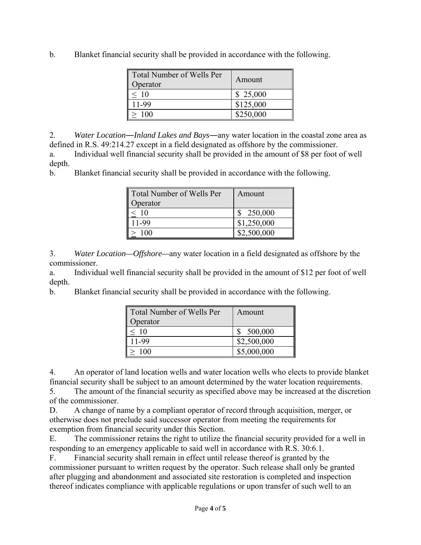b. Blanket financial security shall be provided in accordance with the following.

| <b>Total Number of Wells Per</b><br>Operator | Amount    |
|----------------------------------------------|-----------|
| $\leq 10$                                    | \$25,000  |
| 11-99                                        | \$125,000 |
| > 100                                        | \$250,000 |

2. *Water Location*―*Inland Lakes and Bays*―any water location in the coastal zone area as defined in R.S. 49:214.27 except in a field designated as offshore by the commissioner.

a. Individual well financial security shall be provided in the amount of \$8 per foot of well depth.

b. Blanket financial security shall be provided in accordance with the following.

| <b>Total Number of Wells Per</b><br>Operator | Amount      |
|----------------------------------------------|-------------|
| < 10                                         | 250,000     |
| 11-99                                        | \$1,250,000 |
| 100                                          | \$2,500,000 |

3. *Water Location—Offshore—*any water location in a field designated as offshore by the commissioner.

a. Individual well financial security shall be provided in the amount of \$12 per foot of well depth.

b. Blanket financial security shall be provided in accordance with the following.

| Total Number of Wells Per | Amount      |
|---------------------------|-------------|
| Operator                  |             |
| < 10                      | \$500,000   |
| 11-99                     | \$2,500,000 |
|                           | \$5,000,000 |

4. An operator of land location wells and water location wells who elects to provide blanket financial security shall be subject to an amount determined by the water location requirements.

5. The amount of the financial security as specified above may be increased at the discretion of the commissioner.

D. A change of name by a compliant operator of record through acquisition, merger, or otherwise does not preclude said successor operator from meeting the requirements for exemption from financial security under this Section.

E. The commissioner retains the right to utilize the financial security provided for a well in responding to an emergency applicable to said well in accordance with R.S. 30:6.1.

F. Financial security shall remain in effect until release thereof is granted by the commissioner pursuant to written request by the operator. Such release shall only be granted after plugging and abandonment and associated site restoration is completed and inspection thereof indicates compliance with applicable regulations or upon transfer of such well to an